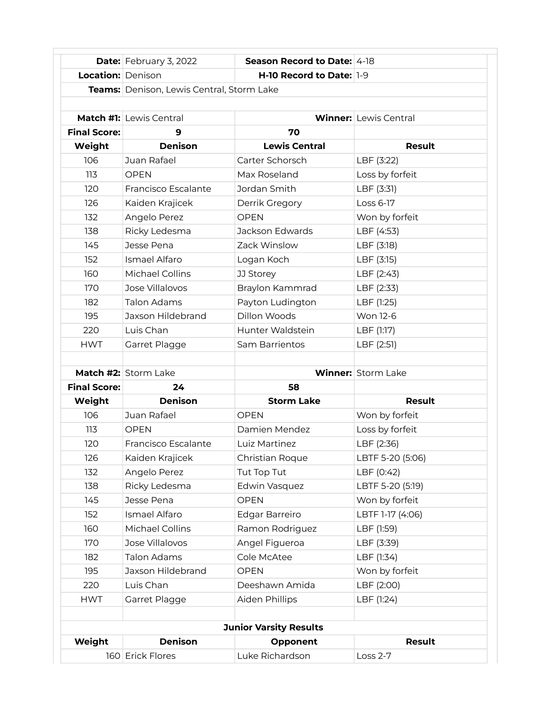|                               | Date: February 3, 2022                           | Season Record to Date: 4-18 |                              |  |  |
|-------------------------------|--------------------------------------------------|-----------------------------|------------------------------|--|--|
| <b>Location: Denison</b>      |                                                  | H-10 Record to Date: 1-9    |                              |  |  |
|                               | <b>Teams:</b> Denison, Lewis Central, Storm Lake |                             |                              |  |  |
|                               |                                                  |                             |                              |  |  |
|                               | <b>Match #1:</b> Lewis Central                   |                             | <b>Winner:</b> Lewis Central |  |  |
| <b>Final Score:</b>           | 9                                                | 70                          |                              |  |  |
| Weight                        | <b>Denison</b>                                   | <b>Lewis Central</b>        | <b>Result</b>                |  |  |
| 106                           | Juan Rafael                                      | Carter Schorsch             | LBF (3:22)                   |  |  |
| 113                           | <b>OPEN</b>                                      | Max Roseland                | Loss by forfeit              |  |  |
| 120                           | Francisco Escalante                              | Jordan Smith                | LBF (3:31)                   |  |  |
| 126                           | Kaiden Krajicek                                  | Derrik Gregory              | Loss 6-17                    |  |  |
| 132                           | Angelo Perez                                     | <b>OPEN</b>                 | Won by forfeit               |  |  |
| 138                           | Ricky Ledesma                                    | Jackson Edwards             | LBF (4:53)                   |  |  |
| 145                           | Jesse Pena                                       | Zack Winslow                | LBF (3:18)                   |  |  |
| 152                           | Ismael Alfaro                                    | Logan Koch                  | LBF (3:15)                   |  |  |
| 160                           | Michael Collins                                  | JJ Storey                   | LBF (2:43)                   |  |  |
| 170                           | Jose Villalovos                                  | Braylon Kammrad             | LBF (2:33)                   |  |  |
| 182                           | Talon Adams                                      | Payton Ludington            | LBF (1:25)                   |  |  |
| 195                           | Jaxson Hildebrand                                | Dillon Woods                | Won 12-6                     |  |  |
| 220                           | Luis Chan                                        | Hunter Waldstein            | LBF (1:17)                   |  |  |
| <b>HWT</b>                    | Garret Plagge                                    | Sam Barrientos              | LBF (2:51)                   |  |  |
|                               |                                                  |                             |                              |  |  |
|                               | Match #2: Storm Lake                             |                             | <b>Winner: Storm Lake</b>    |  |  |
| <b>Final Score:</b>           | 24                                               | 58                          |                              |  |  |
| Weight                        | <b>Denison</b>                                   | <b>Storm Lake</b>           | <b>Result</b>                |  |  |
| 106                           | Juan Rafael                                      | <b>OPEN</b>                 | Won by forfeit               |  |  |
| 113                           | <b>OPEN</b>                                      | Damien Mendez               | Loss by forfeit              |  |  |
| 120                           | Francisco Escalante                              | Luiz Martinez               | LBF (2:36)                   |  |  |
| 126                           | Kaiden Krajicek                                  | Christian Roque             | LBTF 5-20 (5:06)             |  |  |
| 132                           | Angelo Perez                                     | Tut Top Tut                 | LBF (0:42)                   |  |  |
| 138                           | Ricky Ledesma                                    | Edwin Vasquez               | LBTF 5-20 (5:19)             |  |  |
| 145                           | Jesse Pena                                       | <b>OPEN</b>                 | Won by forfeit               |  |  |
| 152                           | Ismael Alfaro                                    | Edgar Barreiro              | LBTF 1-17 (4:06)             |  |  |
| 160                           | Michael Collins                                  | Ramon Rodriguez             | LBF (1:59)                   |  |  |
| 170                           | Jose Villalovos                                  | Angel Figueroa              | LBF (3:39)                   |  |  |
| 182                           | <b>Talon Adams</b>                               | Cole McAtee                 | LBF (1:34)                   |  |  |
| 195                           | Jaxson Hildebrand                                | <b>OPEN</b>                 | Won by forfeit               |  |  |
| 220                           | Luis Chan                                        | Deeshawn Amida              | LBF (2:00)                   |  |  |
| <b>HWT</b>                    | Garret Plagge                                    | Aiden Phillips              | LBF (1:24)                   |  |  |
|                               |                                                  |                             |                              |  |  |
| <b>Junior Varsity Results</b> |                                                  |                             |                              |  |  |
| Weight                        | <b>Denison</b>                                   | Opponent                    | <b>Result</b>                |  |  |
|                               |                                                  |                             |                              |  |  |